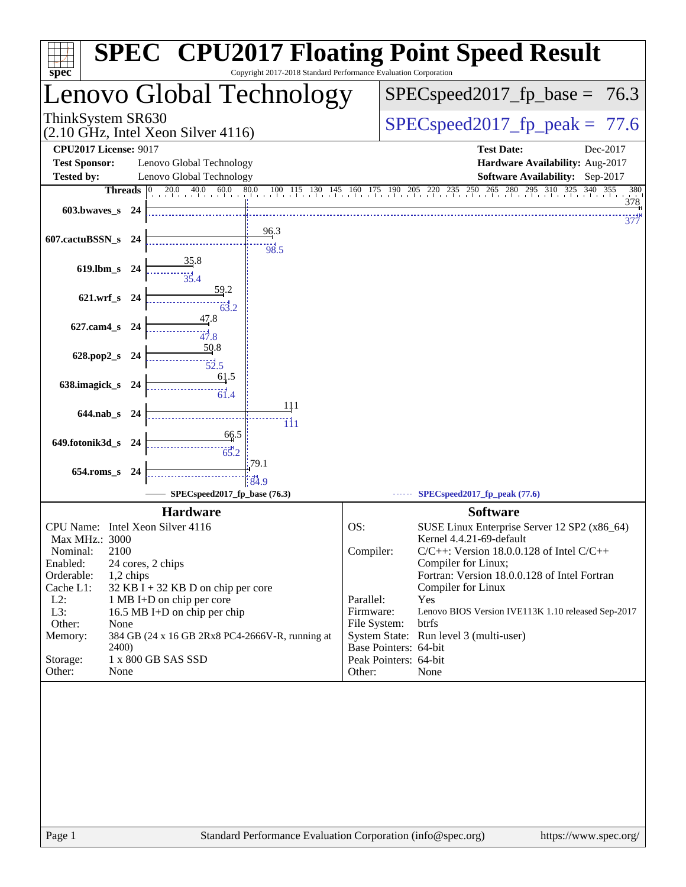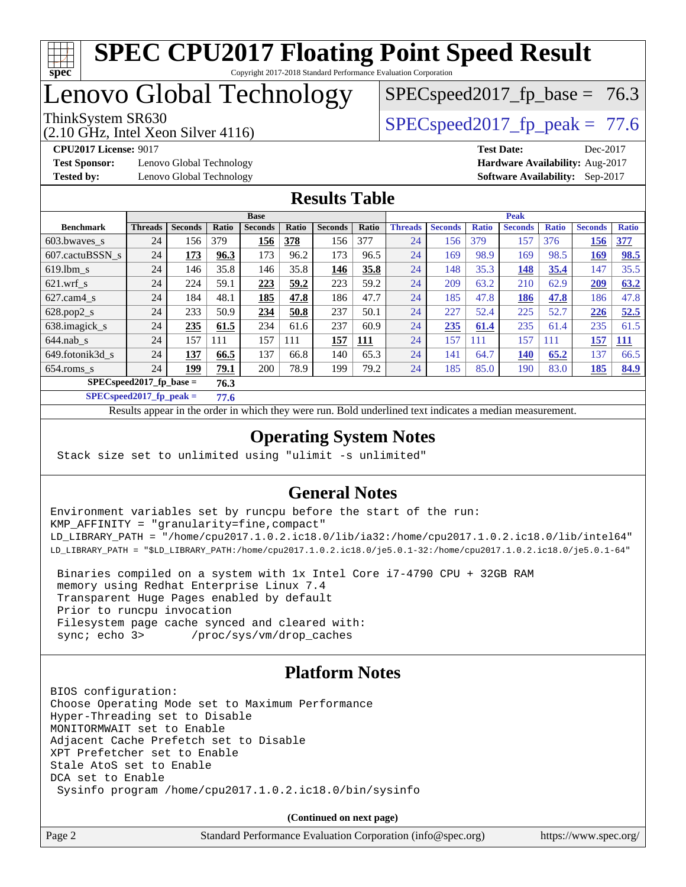

### Lenovo Global Technology

ThinkSystem SR630  $SPEC speed2017$  fp\_peak = 77.6  $SPECspeed2017<sub>fp</sub> base = 76.3$ 

(2.10 GHz, Intel Xeon Silver 4116)

**[Test Sponsor:](http://www.spec.org/auto/cpu2017/Docs/result-fields.html#TestSponsor)** Lenovo Global Technology **[Hardware Availability:](http://www.spec.org/auto/cpu2017/Docs/result-fields.html#HardwareAvailability)** Aug-2017 **[Tested by:](http://www.spec.org/auto/cpu2017/Docs/result-fields.html#Testedby)** Lenovo Global Technology **[Software Availability:](http://www.spec.org/auto/cpu2017/Docs/result-fields.html#SoftwareAvailability)** Sep-2017

**[CPU2017 License:](http://www.spec.org/auto/cpu2017/Docs/result-fields.html#CPU2017License)** 9017 **[Test Date:](http://www.spec.org/auto/cpu2017/Docs/result-fields.html#TestDate)** Dec-2017

#### **[Results Table](http://www.spec.org/auto/cpu2017/Docs/result-fields.html#ResultsTable)**

|                                    | <b>Base</b>    |                |       |                |       | <b>Peak</b>    |       |                |                |              |                |              |                |              |
|------------------------------------|----------------|----------------|-------|----------------|-------|----------------|-------|----------------|----------------|--------------|----------------|--------------|----------------|--------------|
| <b>Benchmark</b>                   | <b>Threads</b> | <b>Seconds</b> | Ratio | <b>Seconds</b> | Ratio | <b>Seconds</b> | Ratio | <b>Threads</b> | <b>Seconds</b> | <b>Ratio</b> | <b>Seconds</b> | <b>Ratio</b> | <b>Seconds</b> | <b>Ratio</b> |
| 603.bwayes s                       | 24             | 156            | 379   | 156            | 378   | 156            | 377   | 24             | 156            | 379          | 157            | 376          | 156            | 377          |
| 607.cactuBSSN s                    | 24             | 173            | 96.3  | 173            | 96.2  | 173            | 96.5  | 24             | 169            | 98.9         | 169            | 98.5         | 169            | 98.5         |
| $619.1$ bm s                       | 24             | 146            | 35.8  | 146            | 35.8  | 146            | 35.8  | 24             | 148            | 35.3         | 148            | 35.4         | 147            | 35.5         |
| $621.wrf$ s                        | 24             | 224            | 59.1  | 223            | 59.2  | 223            | 59.2  | 24             | 209            | 63.2         | 210            | 62.9         | 209            | 63.2         |
| $627.cam4_s$                       | 24             | 184            | 48.1  | 185            | 47.8  | 186            | 47.7  | 24             | 185            | 47.8         | 186            | 47.8         | 186            | 47.8         |
| $628.pop2_s$                       | 24             | 233            | 50.9  | 234            | 50.8  | 237            | 50.1  | 24             | 227            | 52.4         | 225            | 52.7         | 226            | 52.5         |
| 638.imagick_s                      | 24             | 235            | 61.5  | 234            | 61.6  | 237            | 60.9  | 24             | 235            | 61.4         | 235            | 61.4         | 235            | 61.5         |
| $644$ .nab s                       | 24             | 157            | 111   | 157            | 111   | 157            | 111   | 24             | 157            | 111          | 157            | 111          | 157            | 111          |
| 649.fotonik3d s                    | 24             | 137            | 66.5  | 137            | 66.8  | 140            | 65.3  | 24             | 141            | 64.7         | <b>140</b>     | 65.2         | 137            | 66.5         |
| $654$ .roms s                      | 24             | 199            | 79.1  | 200            | 78.9  | 199            | 79.2  | 24             | 185            | 85.0         | 190            | 83.0         | 185            | 84.9         |
| $SPEC speed2017$ fp base =<br>76.3 |                |                |       |                |       |                |       |                |                |              |                |              |                |              |

**[SPECspeed2017\\_fp\\_peak =](http://www.spec.org/auto/cpu2017/Docs/result-fields.html#SPECspeed2017fppeak) 77.6**

Results appear in the [order in which they were run.](http://www.spec.org/auto/cpu2017/Docs/result-fields.html#RunOrder) Bold underlined text [indicates a median measurement](http://www.spec.org/auto/cpu2017/Docs/result-fields.html#Median).

### **[Operating System Notes](http://www.spec.org/auto/cpu2017/Docs/result-fields.html#OperatingSystemNotes)**

Stack size set to unlimited using "ulimit -s unlimited"

#### **[General Notes](http://www.spec.org/auto/cpu2017/Docs/result-fields.html#GeneralNotes)**

Environment variables set by runcpu before the start of the run: KMP\_AFFINITY = "granularity=fine,compact" LD\_LIBRARY\_PATH = "/home/cpu2017.1.0.2.ic18.0/lib/ia32:/home/cpu2017.1.0.2.ic18.0/lib/intel64" LD\_LIBRARY\_PATH = "\$LD\_LIBRARY\_PATH:/home/cpu2017.1.0.2.ic18.0/je5.0.1-32:/home/cpu2017.1.0.2.ic18.0/je5.0.1-64"

 Binaries compiled on a system with 1x Intel Core i7-4790 CPU + 32GB RAM memory using Redhat Enterprise Linux 7.4 Transparent Huge Pages enabled by default Prior to runcpu invocation Filesystem page cache synced and cleared with: sync; echo 3> /proc/sys/vm/drop\_caches

### **[Platform Notes](http://www.spec.org/auto/cpu2017/Docs/result-fields.html#PlatformNotes)**

BIOS configuration: Choose Operating Mode set to Maximum Performance Hyper-Threading set to Disable MONITORMWAIT set to Enable Adjacent Cache Prefetch set to Disable XPT Prefetcher set to Enable Stale AtoS set to Enable DCA set to Enable Sysinfo program /home/cpu2017.1.0.2.ic18.0/bin/sysinfo

**(Continued on next page)**

Page 2 Standard Performance Evaluation Corporation [\(info@spec.org\)](mailto:info@spec.org) <https://www.spec.org/>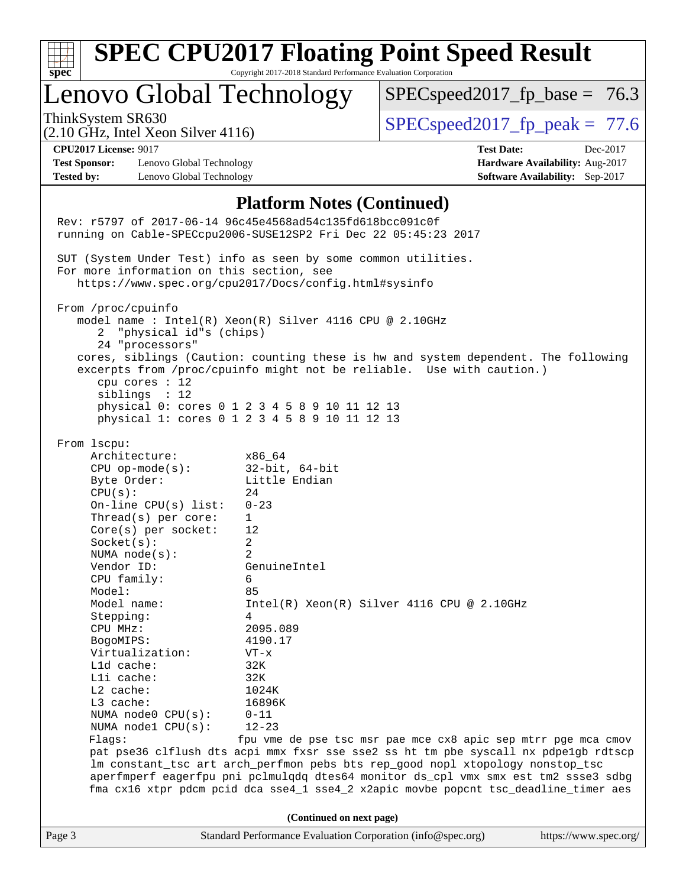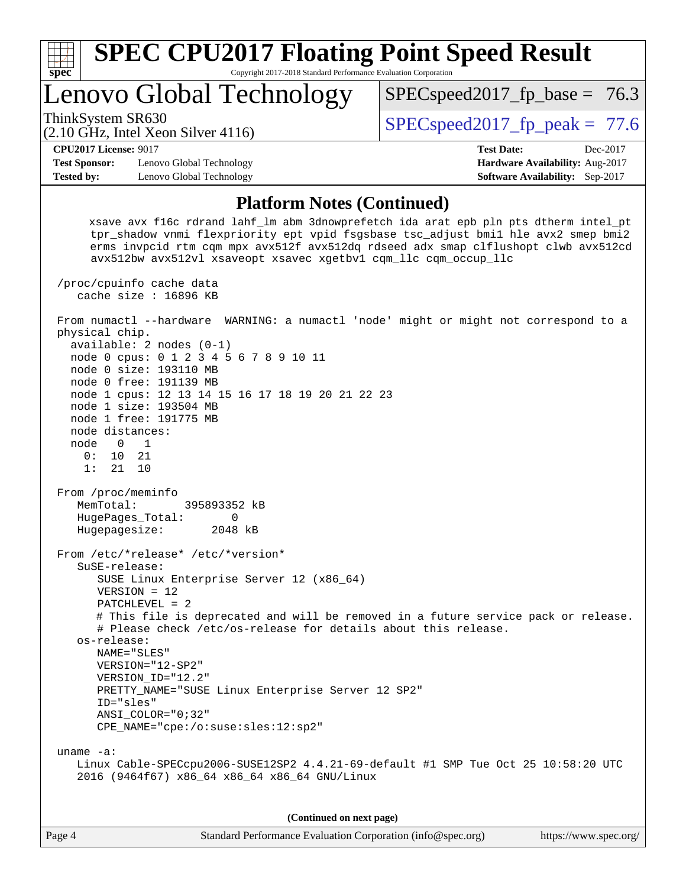

**(Continued on next page)**

| Page 4 | Standard Performance Evaluation Corporation (info@spec.org) |  | https://www.spec.org/ |
|--------|-------------------------------------------------------------|--|-----------------------|
|--------|-------------------------------------------------------------|--|-----------------------|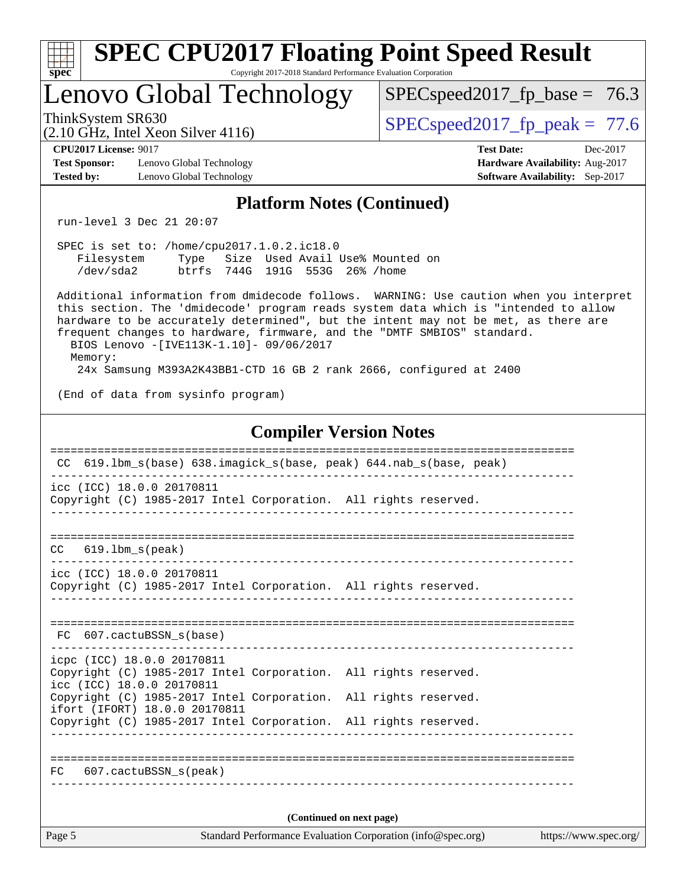| <b>SPEC CPU2017 Floating Point Speed Result</b><br>Copyright 2017-2018 Standard Performance Evaluation Corporation<br>$spec^*$                                                                                                                                                                                                                                                                       |                                                                                                     |  |  |  |  |  |  |
|------------------------------------------------------------------------------------------------------------------------------------------------------------------------------------------------------------------------------------------------------------------------------------------------------------------------------------------------------------------------------------------------------|-----------------------------------------------------------------------------------------------------|--|--|--|--|--|--|
| Lenovo Global Technology                                                                                                                                                                                                                                                                                                                                                                             | $SPEC speed2017_f p\_base = 76.3$                                                                   |  |  |  |  |  |  |
| ThinkSystem SR630<br>$(2.10 \text{ GHz}, \text{Intel Xeon Silver } 4116)$                                                                                                                                                                                                                                                                                                                            | $SPEC speed2017fp peak = 77.6$                                                                      |  |  |  |  |  |  |
| <b>CPU2017 License: 9017</b><br><b>Test Sponsor:</b><br>Lenovo Global Technology<br>Lenovo Global Technology<br><b>Tested by:</b>                                                                                                                                                                                                                                                                    | <b>Test Date:</b><br>Dec-2017<br>Hardware Availability: Aug-2017<br>Software Availability: Sep-2017 |  |  |  |  |  |  |
| <b>Platform Notes (Continued)</b>                                                                                                                                                                                                                                                                                                                                                                    |                                                                                                     |  |  |  |  |  |  |
| run-level 3 Dec 21 20:07                                                                                                                                                                                                                                                                                                                                                                             |                                                                                                     |  |  |  |  |  |  |
| SPEC is set to: /home/cpu2017.1.0.2.ic18.0<br>Filesystem Type Size Used Avail Use% Mounted on<br>btrfs 744G 191G 553G 26% / home<br>/dev/sda2                                                                                                                                                                                                                                                        |                                                                                                     |  |  |  |  |  |  |
| Additional information from dmidecode follows. WARNING: Use caution when you interpret<br>this section. The 'dmidecode' program reads system data which is "intended to allow<br>hardware to be accurately determined", but the intent may not be met, as there are<br>frequent changes to hardware, firmware, and the "DMTF SMBIOS" standard.<br>BIOS Lenovo -[IVE113K-1.10]- 09/06/2017<br>Memory: |                                                                                                     |  |  |  |  |  |  |
| 24x Samsung M393A2K43BB1-CTD 16 GB 2 rank 2666, configured at 2400                                                                                                                                                                                                                                                                                                                                   |                                                                                                     |  |  |  |  |  |  |
| (End of data from sysinfo program)                                                                                                                                                                                                                                                                                                                                                                   |                                                                                                     |  |  |  |  |  |  |
| <b>Compiler Version Notes</b>                                                                                                                                                                                                                                                                                                                                                                        |                                                                                                     |  |  |  |  |  |  |
| 619.1bm_s(base)                                   638.imagick_s(base, peak)        644.nab_s(base, peak)<br>CC.<br>icc (ICC) 18.0.0 20170811<br>Copyright (C) 1985-2017 Intel Corporation. All rights reserved.                                                                                                                                                                                      |                                                                                                     |  |  |  |  |  |  |
| $619.1$ bm_s(peak)<br>CC.                                                                                                                                                                                                                                                                                                                                                                            |                                                                                                     |  |  |  |  |  |  |
| icc (ICC) 18.0.0 20170811<br>Copyright (C) 1985-2017 Intel Corporation. All rights reserved.                                                                                                                                                                                                                                                                                                         |                                                                                                     |  |  |  |  |  |  |
| FC 607.cactuBSSN_s(base)                                                                                                                                                                                                                                                                                                                                                                             |                                                                                                     |  |  |  |  |  |  |
| icpc (ICC) 18.0.0 20170811<br>Copyright (C) 1985-2017 Intel Corporation. All rights reserved.<br>icc (ICC) 18.0.0 20170811                                                                                                                                                                                                                                                                           |                                                                                                     |  |  |  |  |  |  |
| Copyright (C) 1985-2017 Intel Corporation. All rights reserved.<br>ifort (IFORT) 18.0.0 20170811                                                                                                                                                                                                                                                                                                     |                                                                                                     |  |  |  |  |  |  |
| Copyright (C) 1985-2017 Intel Corporation. All rights reserved.                                                                                                                                                                                                                                                                                                                                      |                                                                                                     |  |  |  |  |  |  |
| 607.cactuBSSN_s(peak)<br>FC.                                                                                                                                                                                                                                                                                                                                                                         |                                                                                                     |  |  |  |  |  |  |
| (Continued on next page)                                                                                                                                                                                                                                                                                                                                                                             |                                                                                                     |  |  |  |  |  |  |
| Page 5<br>Standard Performance Evaluation Corporation (info@spec.org)                                                                                                                                                                                                                                                                                                                                | https://www.spec.org/                                                                               |  |  |  |  |  |  |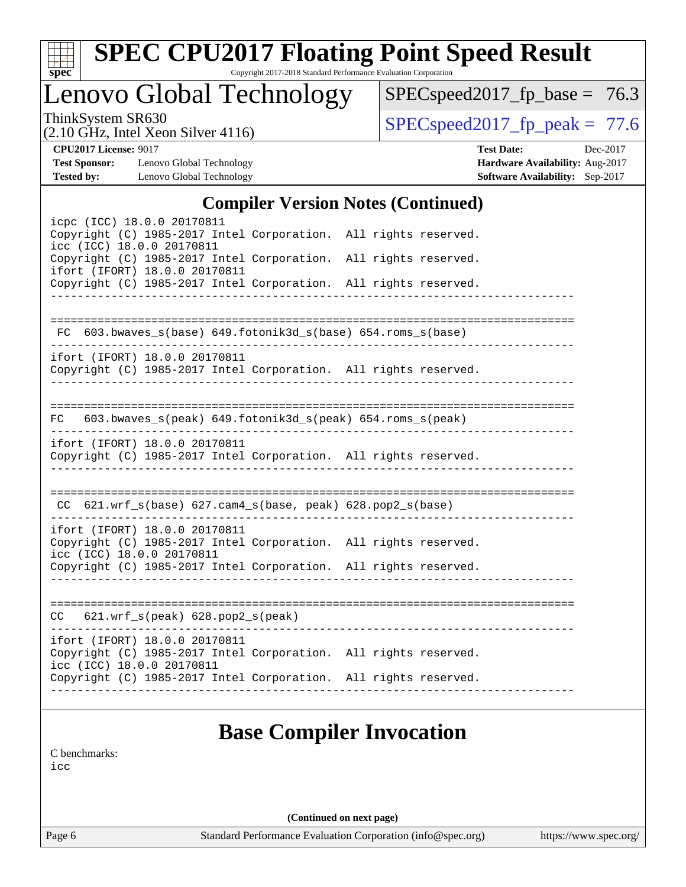| x<br>t.<br>L |  |  |  |  |  |  |  |
|--------------|--|--|--|--|--|--|--|

# **[SPEC CPU2017 Floating Point Speed Result](http://www.spec.org/auto/cpu2017/Docs/result-fields.html#SPECCPU2017FloatingPointSpeedResult)**

Copyright 2017-2018 Standard Performance Evaluation Corporation

Lenovo Global Technology

 $SPEC speed2017_fp\_base = 76.3$ 

(2.10 GHz, Intel Xeon Silver 4116)

ThinkSystem SR630<br>  $(2.10 \text{ GHz. Intel Year } 3116)$  [SPECspeed2017\\_fp\\_peak =](http://www.spec.org/auto/cpu2017/Docs/result-fields.html#SPECspeed2017fppeak) 77.6

**[Test Sponsor:](http://www.spec.org/auto/cpu2017/Docs/result-fields.html#TestSponsor)** Lenovo Global Technology **[Hardware Availability:](http://www.spec.org/auto/cpu2017/Docs/result-fields.html#HardwareAvailability)** Aug-2017 **[Tested by:](http://www.spec.org/auto/cpu2017/Docs/result-fields.html#Testedby)** Lenovo Global Technology **[Software Availability:](http://www.spec.org/auto/cpu2017/Docs/result-fields.html#SoftwareAvailability)** Sep-2017

**[CPU2017 License:](http://www.spec.org/auto/cpu2017/Docs/result-fields.html#CPU2017License)** 9017 **[Test Date:](http://www.spec.org/auto/cpu2017/Docs/result-fields.html#TestDate)** Dec-2017

#### **[Compiler Version Notes \(Continued\)](http://www.spec.org/auto/cpu2017/Docs/result-fields.html#CompilerVersionNotes)**

| icpc (ICC) 18.0.0 20170811<br>Copyright (C) 1985-2017 Intel Corporation. All rights reserved.    |  |                                                              |  |  |
|--------------------------------------------------------------------------------------------------|--|--------------------------------------------------------------|--|--|
| icc (ICC) 18.0.0 20170811                                                                        |  |                                                              |  |  |
| Copyright (C) 1985-2017 Intel Corporation. All rights reserved.<br>ifort (IFORT) 18.0.0 20170811 |  |                                                              |  |  |
| Copyright (C) 1985-2017 Intel Corporation. All rights reserved.                                  |  |                                                              |  |  |
|                                                                                                  |  |                                                              |  |  |
|                                                                                                  |  | FC 603.bwaves_s(base) 649.fotonik3d_s(base) 654.roms_s(base) |  |  |
| ifort (IFORT) 18.0.0 20170811                                                                    |  |                                                              |  |  |
| Copyright (C) 1985-2017 Intel Corporation. All rights reserved.                                  |  |                                                              |  |  |
|                                                                                                  |  |                                                              |  |  |
| $FC$ 603.bwaves_s(peak) 649.fotonik3d_s(peak) 654.roms_s(peak)                                   |  |                                                              |  |  |
| ifort (IFORT) 18.0.0 20170811                                                                    |  |                                                              |  |  |
| Copyright (C) 1985-2017 Intel Corporation. All rights reserved.                                  |  | <u> Listelstein in der E</u>                                 |  |  |
|                                                                                                  |  |                                                              |  |  |
|                                                                                                  |  | CC 621.wrf_s(base) 627.cam4_s(base, peak) 628.pop2_s(base)   |  |  |
| ifort (IFORT) 18.0.0 20170811                                                                    |  |                                                              |  |  |
| Copyright (C) 1985-2017 Intel Corporation. All rights reserved.<br>icc (ICC) 18.0.0 20170811     |  |                                                              |  |  |
| Copyright (C) 1985-2017 Intel Corporation. All rights reserved.                                  |  |                                                              |  |  |
|                                                                                                  |  |                                                              |  |  |
| $CC$ 621.wrf_s(peak) 628.pop2_s(peak)                                                            |  |                                                              |  |  |
|                                                                                                  |  |                                                              |  |  |
| ifort (IFORT) 18.0.0 20170811<br>Copyright (C) 1985-2017 Intel Corporation. All rights reserved. |  |                                                              |  |  |
| icc (ICC) 18.0.0 20170811                                                                        |  |                                                              |  |  |
| Copyright (C) 1985-2017 Intel Corporation. All rights reserved.                                  |  |                                                              |  |  |
|                                                                                                  |  |                                                              |  |  |
|                                                                                                  |  |                                                              |  |  |

### **[Base Compiler Invocation](http://www.spec.org/auto/cpu2017/Docs/result-fields.html#BaseCompilerInvocation)**

[C benchmarks](http://www.spec.org/auto/cpu2017/Docs/result-fields.html#Cbenchmarks): [icc](http://www.spec.org/cpu2017/results/res2018q1/cpu2017-20171225-02106.flags.html#user_CCbase_intel_icc_18.0_66fc1ee009f7361af1fbd72ca7dcefbb700085f36577c54f309893dd4ec40d12360134090235512931783d35fd58c0460139e722d5067c5574d8eaf2b3e37e92)

**(Continued on next page)**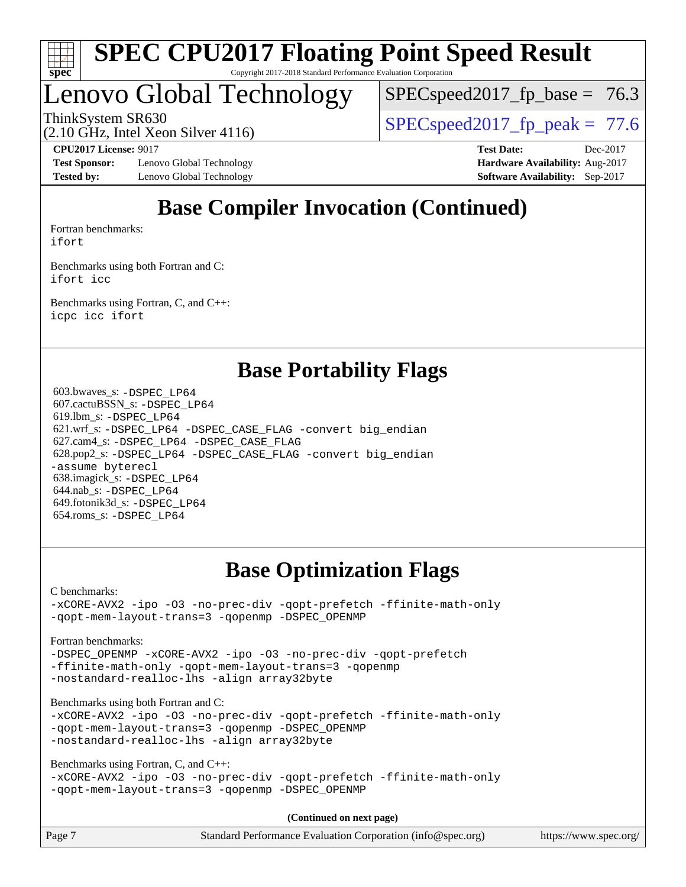

### Lenovo Global Technology

 $SPECspeed2017<sub>fp</sub> base = 76.3$ 

ThinkSystem SR630<br>  $\begin{array}{|l|l|}\n\hline\n\text{ShinkSystem} & \text{Sty}_\text{SPEC} & \text{SPEC speed2017\_fp\_peak} = 77.6\n\hline\n\end{array}$ 

(2.10 GHz, Intel Xeon Silver 4116)

**[Test Sponsor:](http://www.spec.org/auto/cpu2017/Docs/result-fields.html#TestSponsor)** Lenovo Global Technology **[Hardware Availability:](http://www.spec.org/auto/cpu2017/Docs/result-fields.html#HardwareAvailability)** Aug-2017 **[Tested by:](http://www.spec.org/auto/cpu2017/Docs/result-fields.html#Testedby)** Lenovo Global Technology **[Software Availability:](http://www.spec.org/auto/cpu2017/Docs/result-fields.html#SoftwareAvailability)** Sep-2017

**[CPU2017 License:](http://www.spec.org/auto/cpu2017/Docs/result-fields.html#CPU2017License)** 9017 **[Test Date:](http://www.spec.org/auto/cpu2017/Docs/result-fields.html#TestDate)** Dec-2017

### **[Base Compiler Invocation \(Continued\)](http://www.spec.org/auto/cpu2017/Docs/result-fields.html#BaseCompilerInvocation)**

[Fortran benchmarks](http://www.spec.org/auto/cpu2017/Docs/result-fields.html#Fortranbenchmarks): [ifort](http://www.spec.org/cpu2017/results/res2018q1/cpu2017-20171225-02106.flags.html#user_FCbase_intel_ifort_18.0_8111460550e3ca792625aed983ce982f94888b8b503583aa7ba2b8303487b4d8a21a13e7191a45c5fd58ff318f48f9492884d4413fa793fd88dd292cad7027ca)

[Benchmarks using both Fortran and C](http://www.spec.org/auto/cpu2017/Docs/result-fields.html#BenchmarksusingbothFortranandC): [ifort](http://www.spec.org/cpu2017/results/res2018q1/cpu2017-20171225-02106.flags.html#user_CC_FCbase_intel_ifort_18.0_8111460550e3ca792625aed983ce982f94888b8b503583aa7ba2b8303487b4d8a21a13e7191a45c5fd58ff318f48f9492884d4413fa793fd88dd292cad7027ca) [icc](http://www.spec.org/cpu2017/results/res2018q1/cpu2017-20171225-02106.flags.html#user_CC_FCbase_intel_icc_18.0_66fc1ee009f7361af1fbd72ca7dcefbb700085f36577c54f309893dd4ec40d12360134090235512931783d35fd58c0460139e722d5067c5574d8eaf2b3e37e92)

[Benchmarks using Fortran, C, and C++:](http://www.spec.org/auto/cpu2017/Docs/result-fields.html#BenchmarksusingFortranCandCXX) [icpc](http://www.spec.org/cpu2017/results/res2018q1/cpu2017-20171225-02106.flags.html#user_CC_CXX_FCbase_intel_icpc_18.0_c510b6838c7f56d33e37e94d029a35b4a7bccf4766a728ee175e80a419847e808290a9b78be685c44ab727ea267ec2f070ec5dc83b407c0218cded6866a35d07) [icc](http://www.spec.org/cpu2017/results/res2018q1/cpu2017-20171225-02106.flags.html#user_CC_CXX_FCbase_intel_icc_18.0_66fc1ee009f7361af1fbd72ca7dcefbb700085f36577c54f309893dd4ec40d12360134090235512931783d35fd58c0460139e722d5067c5574d8eaf2b3e37e92) [ifort](http://www.spec.org/cpu2017/results/res2018q1/cpu2017-20171225-02106.flags.html#user_CC_CXX_FCbase_intel_ifort_18.0_8111460550e3ca792625aed983ce982f94888b8b503583aa7ba2b8303487b4d8a21a13e7191a45c5fd58ff318f48f9492884d4413fa793fd88dd292cad7027ca)

### **[Base Portability Flags](http://www.spec.org/auto/cpu2017/Docs/result-fields.html#BasePortabilityFlags)**

 603.bwaves\_s: [-DSPEC\\_LP64](http://www.spec.org/cpu2017/results/res2018q1/cpu2017-20171225-02106.flags.html#suite_basePORTABILITY603_bwaves_s_DSPEC_LP64) 607.cactuBSSN\_s: [-DSPEC\\_LP64](http://www.spec.org/cpu2017/results/res2018q1/cpu2017-20171225-02106.flags.html#suite_basePORTABILITY607_cactuBSSN_s_DSPEC_LP64) 619.lbm\_s: [-DSPEC\\_LP64](http://www.spec.org/cpu2017/results/res2018q1/cpu2017-20171225-02106.flags.html#suite_basePORTABILITY619_lbm_s_DSPEC_LP64) 621.wrf\_s: [-DSPEC\\_LP64](http://www.spec.org/cpu2017/results/res2018q1/cpu2017-20171225-02106.flags.html#suite_basePORTABILITY621_wrf_s_DSPEC_LP64) [-DSPEC\\_CASE\\_FLAG](http://www.spec.org/cpu2017/results/res2018q1/cpu2017-20171225-02106.flags.html#b621.wrf_s_baseCPORTABILITY_DSPEC_CASE_FLAG) [-convert big\\_endian](http://www.spec.org/cpu2017/results/res2018q1/cpu2017-20171225-02106.flags.html#user_baseFPORTABILITY621_wrf_s_convert_big_endian_c3194028bc08c63ac5d04de18c48ce6d347e4e562e8892b8bdbdc0214820426deb8554edfa529a3fb25a586e65a3d812c835984020483e7e73212c4d31a38223) 627.cam4\_s: [-DSPEC\\_LP64](http://www.spec.org/cpu2017/results/res2018q1/cpu2017-20171225-02106.flags.html#suite_basePORTABILITY627_cam4_s_DSPEC_LP64) [-DSPEC\\_CASE\\_FLAG](http://www.spec.org/cpu2017/results/res2018q1/cpu2017-20171225-02106.flags.html#b627.cam4_s_baseCPORTABILITY_DSPEC_CASE_FLAG) 628.pop2\_s: [-DSPEC\\_LP64](http://www.spec.org/cpu2017/results/res2018q1/cpu2017-20171225-02106.flags.html#suite_basePORTABILITY628_pop2_s_DSPEC_LP64) [-DSPEC\\_CASE\\_FLAG](http://www.spec.org/cpu2017/results/res2018q1/cpu2017-20171225-02106.flags.html#b628.pop2_s_baseCPORTABILITY_DSPEC_CASE_FLAG) [-convert big\\_endian](http://www.spec.org/cpu2017/results/res2018q1/cpu2017-20171225-02106.flags.html#user_baseFPORTABILITY628_pop2_s_convert_big_endian_c3194028bc08c63ac5d04de18c48ce6d347e4e562e8892b8bdbdc0214820426deb8554edfa529a3fb25a586e65a3d812c835984020483e7e73212c4d31a38223) [-assume byterecl](http://www.spec.org/cpu2017/results/res2018q1/cpu2017-20171225-02106.flags.html#user_baseFPORTABILITY628_pop2_s_assume_byterecl_7e47d18b9513cf18525430bbf0f2177aa9bf368bc7a059c09b2c06a34b53bd3447c950d3f8d6c70e3faf3a05c8557d66a5798b567902e8849adc142926523472) 638.imagick\_s: [-DSPEC\\_LP64](http://www.spec.org/cpu2017/results/res2018q1/cpu2017-20171225-02106.flags.html#suite_basePORTABILITY638_imagick_s_DSPEC_LP64) 644.nab\_s: [-DSPEC\\_LP64](http://www.spec.org/cpu2017/results/res2018q1/cpu2017-20171225-02106.flags.html#suite_basePORTABILITY644_nab_s_DSPEC_LP64) 649.fotonik3d\_s: [-DSPEC\\_LP64](http://www.spec.org/cpu2017/results/res2018q1/cpu2017-20171225-02106.flags.html#suite_basePORTABILITY649_fotonik3d_s_DSPEC_LP64) 654.roms\_s: [-DSPEC\\_LP64](http://www.spec.org/cpu2017/results/res2018q1/cpu2017-20171225-02106.flags.html#suite_basePORTABILITY654_roms_s_DSPEC_LP64)

### **[Base Optimization Flags](http://www.spec.org/auto/cpu2017/Docs/result-fields.html#BaseOptimizationFlags)**

[C benchmarks](http://www.spec.org/auto/cpu2017/Docs/result-fields.html#Cbenchmarks):

[-xCORE-AVX2](http://www.spec.org/cpu2017/results/res2018q1/cpu2017-20171225-02106.flags.html#user_CCbase_f-xCORE-AVX2) [-ipo](http://www.spec.org/cpu2017/results/res2018q1/cpu2017-20171225-02106.flags.html#user_CCbase_f-ipo) [-O3](http://www.spec.org/cpu2017/results/res2018q1/cpu2017-20171225-02106.flags.html#user_CCbase_f-O3) [-no-prec-div](http://www.spec.org/cpu2017/results/res2018q1/cpu2017-20171225-02106.flags.html#user_CCbase_f-no-prec-div) [-qopt-prefetch](http://www.spec.org/cpu2017/results/res2018q1/cpu2017-20171225-02106.flags.html#user_CCbase_f-qopt-prefetch) [-ffinite-math-only](http://www.spec.org/cpu2017/results/res2018q1/cpu2017-20171225-02106.flags.html#user_CCbase_f_finite_math_only_cb91587bd2077682c4b38af759c288ed7c732db004271a9512da14a4f8007909a5f1427ecbf1a0fb78ff2a814402c6114ac565ca162485bbcae155b5e4258871) [-qopt-mem-layout-trans=3](http://www.spec.org/cpu2017/results/res2018q1/cpu2017-20171225-02106.flags.html#user_CCbase_f-qopt-mem-layout-trans_de80db37974c74b1f0e20d883f0b675c88c3b01e9d123adea9b28688d64333345fb62bc4a798493513fdb68f60282f9a726aa07f478b2f7113531aecce732043) [-qopenmp](http://www.spec.org/cpu2017/results/res2018q1/cpu2017-20171225-02106.flags.html#user_CCbase_qopenmp_16be0c44f24f464004c6784a7acb94aca937f053568ce72f94b139a11c7c168634a55f6653758ddd83bcf7b8463e8028bb0b48b77bcddc6b78d5d95bb1df2967) [-DSPEC\\_OPENMP](http://www.spec.org/cpu2017/results/res2018q1/cpu2017-20171225-02106.flags.html#suite_CCbase_DSPEC_OPENMP)

#### [Fortran benchmarks](http://www.spec.org/auto/cpu2017/Docs/result-fields.html#Fortranbenchmarks):

[-DSPEC\\_OPENMP](http://www.spec.org/cpu2017/results/res2018q1/cpu2017-20171225-02106.flags.html#suite_FCbase_DSPEC_OPENMP) [-xCORE-AVX2](http://www.spec.org/cpu2017/results/res2018q1/cpu2017-20171225-02106.flags.html#user_FCbase_f-xCORE-AVX2) [-ipo](http://www.spec.org/cpu2017/results/res2018q1/cpu2017-20171225-02106.flags.html#user_FCbase_f-ipo) [-O3](http://www.spec.org/cpu2017/results/res2018q1/cpu2017-20171225-02106.flags.html#user_FCbase_f-O3) [-no-prec-div](http://www.spec.org/cpu2017/results/res2018q1/cpu2017-20171225-02106.flags.html#user_FCbase_f-no-prec-div) [-qopt-prefetch](http://www.spec.org/cpu2017/results/res2018q1/cpu2017-20171225-02106.flags.html#user_FCbase_f-qopt-prefetch) [-ffinite-math-only](http://www.spec.org/cpu2017/results/res2018q1/cpu2017-20171225-02106.flags.html#user_FCbase_f_finite_math_only_cb91587bd2077682c4b38af759c288ed7c732db004271a9512da14a4f8007909a5f1427ecbf1a0fb78ff2a814402c6114ac565ca162485bbcae155b5e4258871) [-qopt-mem-layout-trans=3](http://www.spec.org/cpu2017/results/res2018q1/cpu2017-20171225-02106.flags.html#user_FCbase_f-qopt-mem-layout-trans_de80db37974c74b1f0e20d883f0b675c88c3b01e9d123adea9b28688d64333345fb62bc4a798493513fdb68f60282f9a726aa07f478b2f7113531aecce732043) [-qopenmp](http://www.spec.org/cpu2017/results/res2018q1/cpu2017-20171225-02106.flags.html#user_FCbase_qopenmp_16be0c44f24f464004c6784a7acb94aca937f053568ce72f94b139a11c7c168634a55f6653758ddd83bcf7b8463e8028bb0b48b77bcddc6b78d5d95bb1df2967) [-nostandard-realloc-lhs](http://www.spec.org/cpu2017/results/res2018q1/cpu2017-20171225-02106.flags.html#user_FCbase_f_2003_std_realloc_82b4557e90729c0f113870c07e44d33d6f5a304b4f63d4c15d2d0f1fab99f5daaed73bdb9275d9ae411527f28b936061aa8b9c8f2d63842963b95c9dd6426b8a) [-align array32byte](http://www.spec.org/cpu2017/results/res2018q1/cpu2017-20171225-02106.flags.html#user_FCbase_align_array32byte_b982fe038af199962ba9a80c053b8342c548c85b40b8e86eb3cc33dee0d7986a4af373ac2d51c3f7cf710a18d62fdce2948f201cd044323541f22fc0fffc51b6)

[Benchmarks using both Fortran and C](http://www.spec.org/auto/cpu2017/Docs/result-fields.html#BenchmarksusingbothFortranandC):

[-xCORE-AVX2](http://www.spec.org/cpu2017/results/res2018q1/cpu2017-20171225-02106.flags.html#user_CC_FCbase_f-xCORE-AVX2) [-ipo](http://www.spec.org/cpu2017/results/res2018q1/cpu2017-20171225-02106.flags.html#user_CC_FCbase_f-ipo) [-O3](http://www.spec.org/cpu2017/results/res2018q1/cpu2017-20171225-02106.flags.html#user_CC_FCbase_f-O3) [-no-prec-div](http://www.spec.org/cpu2017/results/res2018q1/cpu2017-20171225-02106.flags.html#user_CC_FCbase_f-no-prec-div) [-qopt-prefetch](http://www.spec.org/cpu2017/results/res2018q1/cpu2017-20171225-02106.flags.html#user_CC_FCbase_f-qopt-prefetch) [-ffinite-math-only](http://www.spec.org/cpu2017/results/res2018q1/cpu2017-20171225-02106.flags.html#user_CC_FCbase_f_finite_math_only_cb91587bd2077682c4b38af759c288ed7c732db004271a9512da14a4f8007909a5f1427ecbf1a0fb78ff2a814402c6114ac565ca162485bbcae155b5e4258871) [-qopt-mem-layout-trans=3](http://www.spec.org/cpu2017/results/res2018q1/cpu2017-20171225-02106.flags.html#user_CC_FCbase_f-qopt-mem-layout-trans_de80db37974c74b1f0e20d883f0b675c88c3b01e9d123adea9b28688d64333345fb62bc4a798493513fdb68f60282f9a726aa07f478b2f7113531aecce732043) [-qopenmp](http://www.spec.org/cpu2017/results/res2018q1/cpu2017-20171225-02106.flags.html#user_CC_FCbase_qopenmp_16be0c44f24f464004c6784a7acb94aca937f053568ce72f94b139a11c7c168634a55f6653758ddd83bcf7b8463e8028bb0b48b77bcddc6b78d5d95bb1df2967) [-DSPEC\\_OPENMP](http://www.spec.org/cpu2017/results/res2018q1/cpu2017-20171225-02106.flags.html#suite_CC_FCbase_DSPEC_OPENMP) [-nostandard-realloc-lhs](http://www.spec.org/cpu2017/results/res2018q1/cpu2017-20171225-02106.flags.html#user_CC_FCbase_f_2003_std_realloc_82b4557e90729c0f113870c07e44d33d6f5a304b4f63d4c15d2d0f1fab99f5daaed73bdb9275d9ae411527f28b936061aa8b9c8f2d63842963b95c9dd6426b8a) [-align array32byte](http://www.spec.org/cpu2017/results/res2018q1/cpu2017-20171225-02106.flags.html#user_CC_FCbase_align_array32byte_b982fe038af199962ba9a80c053b8342c548c85b40b8e86eb3cc33dee0d7986a4af373ac2d51c3f7cf710a18d62fdce2948f201cd044323541f22fc0fffc51b6)

[Benchmarks using Fortran, C, and C++:](http://www.spec.org/auto/cpu2017/Docs/result-fields.html#BenchmarksusingFortranCandCXX)

```
-xCORE-AVX2 -ipo -O3 -no-prec-div -qopt-prefetch -ffinite-math-only
-qopt-mem-layout-trans=3 -qopenmp -DSPEC_OPENMP
```
**(Continued on next page)**

| Page 7 | Standard Performance Evaluation Corporation (info@spec.org) | https://www.spec.org/ |
|--------|-------------------------------------------------------------|-----------------------|
|        |                                                             |                       |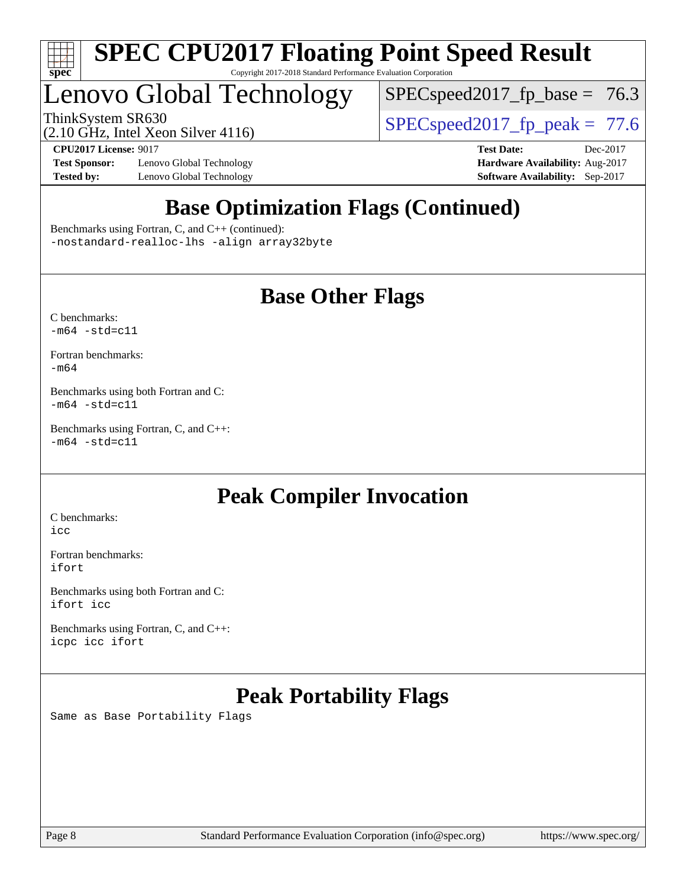

## Lenovo Global Technology

 $SPECspeed2017_fp\_base = 76.3$ 

ThinkSystem SR630  $SPIZ$  Intel Year Silver 4116

(2.10 GHz, Intel Xeon Silver 4116)

**[Test Sponsor:](http://www.spec.org/auto/cpu2017/Docs/result-fields.html#TestSponsor)** Lenovo Global Technology **[Hardware Availability:](http://www.spec.org/auto/cpu2017/Docs/result-fields.html#HardwareAvailability)** Aug-2017 **[Tested by:](http://www.spec.org/auto/cpu2017/Docs/result-fields.html#Testedby)** Lenovo Global Technology **[Software Availability:](http://www.spec.org/auto/cpu2017/Docs/result-fields.html#SoftwareAvailability)** Sep-2017

**[CPU2017 License:](http://www.spec.org/auto/cpu2017/Docs/result-fields.html#CPU2017License)** 9017 **[Test Date:](http://www.spec.org/auto/cpu2017/Docs/result-fields.html#TestDate)** Dec-2017

### **[Base Optimization Flags \(Continued\)](http://www.spec.org/auto/cpu2017/Docs/result-fields.html#BaseOptimizationFlags)**

[Benchmarks using Fortran, C, and C++](http://www.spec.org/auto/cpu2017/Docs/result-fields.html#BenchmarksusingFortranCandCXX) (continued): [-nostandard-realloc-lhs](http://www.spec.org/cpu2017/results/res2018q1/cpu2017-20171225-02106.flags.html#user_CC_CXX_FCbase_f_2003_std_realloc_82b4557e90729c0f113870c07e44d33d6f5a304b4f63d4c15d2d0f1fab99f5daaed73bdb9275d9ae411527f28b936061aa8b9c8f2d63842963b95c9dd6426b8a) [-align array32byte](http://www.spec.org/cpu2017/results/res2018q1/cpu2017-20171225-02106.flags.html#user_CC_CXX_FCbase_align_array32byte_b982fe038af199962ba9a80c053b8342c548c85b40b8e86eb3cc33dee0d7986a4af373ac2d51c3f7cf710a18d62fdce2948f201cd044323541f22fc0fffc51b6)

### **[Base Other Flags](http://www.spec.org/auto/cpu2017/Docs/result-fields.html#BaseOtherFlags)**

[C benchmarks](http://www.spec.org/auto/cpu2017/Docs/result-fields.html#Cbenchmarks):  $-m64 - std= c11$  $-m64 - std= c11$ 

[Fortran benchmarks](http://www.spec.org/auto/cpu2017/Docs/result-fields.html#Fortranbenchmarks): [-m64](http://www.spec.org/cpu2017/results/res2018q1/cpu2017-20171225-02106.flags.html#user_FCbase_intel_intel64_18.0_af43caccfc8ded86e7699f2159af6efc7655f51387b94da716254467f3c01020a5059329e2569e4053f409e7c9202a7efc638f7a6d1ffb3f52dea4a3e31d82ab)

[Benchmarks using both Fortran and C](http://www.spec.org/auto/cpu2017/Docs/result-fields.html#BenchmarksusingbothFortranandC):  $-m64 - std = c11$  $-m64 - std = c11$ 

[Benchmarks using Fortran, C, and C++:](http://www.spec.org/auto/cpu2017/Docs/result-fields.html#BenchmarksusingFortranCandCXX)  $-m64 - std = c11$  $-m64 - std = c11$ 

### **[Peak Compiler Invocation](http://www.spec.org/auto/cpu2017/Docs/result-fields.html#PeakCompilerInvocation)**

[C benchmarks](http://www.spec.org/auto/cpu2017/Docs/result-fields.html#Cbenchmarks): [icc](http://www.spec.org/cpu2017/results/res2018q1/cpu2017-20171225-02106.flags.html#user_CCpeak_intel_icc_18.0_66fc1ee009f7361af1fbd72ca7dcefbb700085f36577c54f309893dd4ec40d12360134090235512931783d35fd58c0460139e722d5067c5574d8eaf2b3e37e92)

[Fortran benchmarks](http://www.spec.org/auto/cpu2017/Docs/result-fields.html#Fortranbenchmarks): [ifort](http://www.spec.org/cpu2017/results/res2018q1/cpu2017-20171225-02106.flags.html#user_FCpeak_intel_ifort_18.0_8111460550e3ca792625aed983ce982f94888b8b503583aa7ba2b8303487b4d8a21a13e7191a45c5fd58ff318f48f9492884d4413fa793fd88dd292cad7027ca)

[Benchmarks using both Fortran and C](http://www.spec.org/auto/cpu2017/Docs/result-fields.html#BenchmarksusingbothFortranandC): [ifort](http://www.spec.org/cpu2017/results/res2018q1/cpu2017-20171225-02106.flags.html#user_CC_FCpeak_intel_ifort_18.0_8111460550e3ca792625aed983ce982f94888b8b503583aa7ba2b8303487b4d8a21a13e7191a45c5fd58ff318f48f9492884d4413fa793fd88dd292cad7027ca) [icc](http://www.spec.org/cpu2017/results/res2018q1/cpu2017-20171225-02106.flags.html#user_CC_FCpeak_intel_icc_18.0_66fc1ee009f7361af1fbd72ca7dcefbb700085f36577c54f309893dd4ec40d12360134090235512931783d35fd58c0460139e722d5067c5574d8eaf2b3e37e92)

[Benchmarks using Fortran, C, and C++:](http://www.spec.org/auto/cpu2017/Docs/result-fields.html#BenchmarksusingFortranCandCXX) [icpc](http://www.spec.org/cpu2017/results/res2018q1/cpu2017-20171225-02106.flags.html#user_CC_CXX_FCpeak_intel_icpc_18.0_c510b6838c7f56d33e37e94d029a35b4a7bccf4766a728ee175e80a419847e808290a9b78be685c44ab727ea267ec2f070ec5dc83b407c0218cded6866a35d07) [icc](http://www.spec.org/cpu2017/results/res2018q1/cpu2017-20171225-02106.flags.html#user_CC_CXX_FCpeak_intel_icc_18.0_66fc1ee009f7361af1fbd72ca7dcefbb700085f36577c54f309893dd4ec40d12360134090235512931783d35fd58c0460139e722d5067c5574d8eaf2b3e37e92) [ifort](http://www.spec.org/cpu2017/results/res2018q1/cpu2017-20171225-02106.flags.html#user_CC_CXX_FCpeak_intel_ifort_18.0_8111460550e3ca792625aed983ce982f94888b8b503583aa7ba2b8303487b4d8a21a13e7191a45c5fd58ff318f48f9492884d4413fa793fd88dd292cad7027ca)

### **[Peak Portability Flags](http://www.spec.org/auto/cpu2017/Docs/result-fields.html#PeakPortabilityFlags)**

Same as Base Portability Flags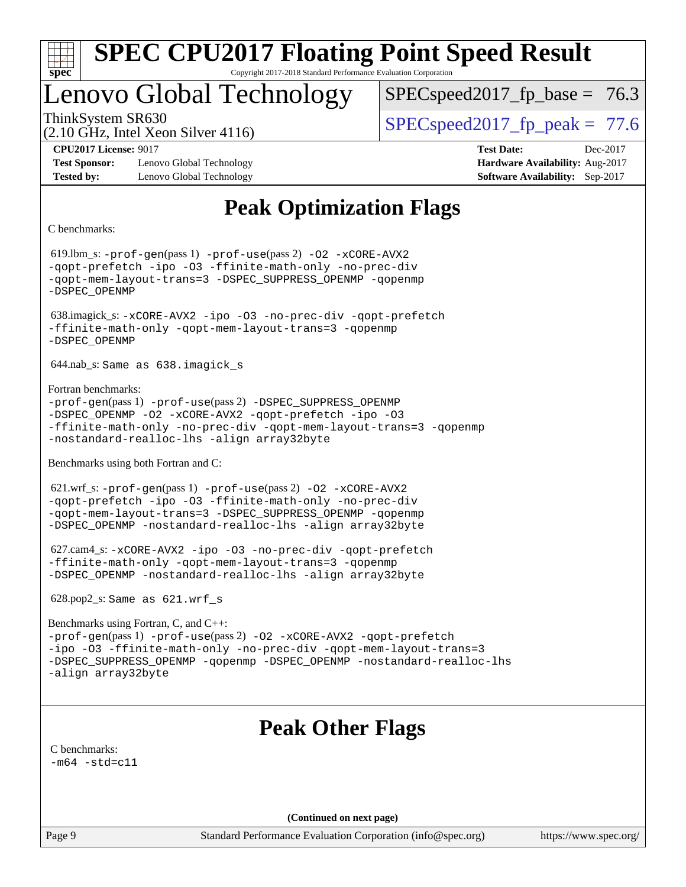

### Lenovo Global Technology

 $SPECspeed2017<sub>fp</sub> base = 76.3$ 

(2.10 GHz, Intel Xeon Silver 4116)

ThinkSystem SR630  $SPEC speed2017$  fp\_peak = 77.6

**[Test Sponsor:](http://www.spec.org/auto/cpu2017/Docs/result-fields.html#TestSponsor)** Lenovo Global Technology **[Hardware Availability:](http://www.spec.org/auto/cpu2017/Docs/result-fields.html#HardwareAvailability)** Aug-2017 **[Tested by:](http://www.spec.org/auto/cpu2017/Docs/result-fields.html#Testedby)** Lenovo Global Technology **[Software Availability:](http://www.spec.org/auto/cpu2017/Docs/result-fields.html#SoftwareAvailability)** Sep-2017

**[CPU2017 License:](http://www.spec.org/auto/cpu2017/Docs/result-fields.html#CPU2017License)** 9017 **[Test Date:](http://www.spec.org/auto/cpu2017/Docs/result-fields.html#TestDate)** Dec-2017

### **[Peak Optimization Flags](http://www.spec.org/auto/cpu2017/Docs/result-fields.html#PeakOptimizationFlags)**

[C benchmarks](http://www.spec.org/auto/cpu2017/Docs/result-fields.html#Cbenchmarks):

 619.lbm\_s: [-prof-gen](http://www.spec.org/cpu2017/results/res2018q1/cpu2017-20171225-02106.flags.html#user_peakPASS1_CFLAGSPASS1_LDFLAGS619_lbm_s_prof_gen_5aa4926d6013ddb2a31985c654b3eb18169fc0c6952a63635c234f711e6e63dd76e94ad52365559451ec499a2cdb89e4dc58ba4c67ef54ca681ffbe1461d6b36)(pass 1) [-prof-use](http://www.spec.org/cpu2017/results/res2018q1/cpu2017-20171225-02106.flags.html#user_peakPASS2_CFLAGSPASS2_LDFLAGS619_lbm_s_prof_use_1a21ceae95f36a2b53c25747139a6c16ca95bd9def2a207b4f0849963b97e94f5260e30a0c64f4bb623698870e679ca08317ef8150905d41bd88c6f78df73f19)(pass 2) [-O2](http://www.spec.org/cpu2017/results/res2018q1/cpu2017-20171225-02106.flags.html#user_peakPASS1_COPTIMIZE619_lbm_s_f-O2) [-xCORE-AVX2](http://www.spec.org/cpu2017/results/res2018q1/cpu2017-20171225-02106.flags.html#user_peakPASS2_COPTIMIZE619_lbm_s_f-xCORE-AVX2) [-qopt-prefetch](http://www.spec.org/cpu2017/results/res2018q1/cpu2017-20171225-02106.flags.html#user_peakPASS1_COPTIMIZEPASS2_COPTIMIZE619_lbm_s_f-qopt-prefetch) [-ipo](http://www.spec.org/cpu2017/results/res2018q1/cpu2017-20171225-02106.flags.html#user_peakPASS2_COPTIMIZE619_lbm_s_f-ipo) [-O3](http://www.spec.org/cpu2017/results/res2018q1/cpu2017-20171225-02106.flags.html#user_peakPASS2_COPTIMIZE619_lbm_s_f-O3) [-ffinite-math-only](http://www.spec.org/cpu2017/results/res2018q1/cpu2017-20171225-02106.flags.html#user_peakPASS1_COPTIMIZEPASS2_COPTIMIZE619_lbm_s_f_finite_math_only_cb91587bd2077682c4b38af759c288ed7c732db004271a9512da14a4f8007909a5f1427ecbf1a0fb78ff2a814402c6114ac565ca162485bbcae155b5e4258871) [-no-prec-div](http://www.spec.org/cpu2017/results/res2018q1/cpu2017-20171225-02106.flags.html#user_peakPASS2_COPTIMIZE619_lbm_s_f-no-prec-div) [-qopt-mem-layout-trans=3](http://www.spec.org/cpu2017/results/res2018q1/cpu2017-20171225-02106.flags.html#user_peakPASS1_COPTIMIZEPASS2_COPTIMIZE619_lbm_s_f-qopt-mem-layout-trans_de80db37974c74b1f0e20d883f0b675c88c3b01e9d123adea9b28688d64333345fb62bc4a798493513fdb68f60282f9a726aa07f478b2f7113531aecce732043) [-DSPEC\\_SUPPRESS\\_OPENMP](http://www.spec.org/cpu2017/results/res2018q1/cpu2017-20171225-02106.flags.html#suite_peakPASS1_COPTIMIZE619_lbm_s_DSPEC_SUPPRESS_OPENMP) [-qopenmp](http://www.spec.org/cpu2017/results/res2018q1/cpu2017-20171225-02106.flags.html#user_peakPASS2_COPTIMIZE619_lbm_s_qopenmp_16be0c44f24f464004c6784a7acb94aca937f053568ce72f94b139a11c7c168634a55f6653758ddd83bcf7b8463e8028bb0b48b77bcddc6b78d5d95bb1df2967) [-DSPEC\\_OPENMP](http://www.spec.org/cpu2017/results/res2018q1/cpu2017-20171225-02106.flags.html#suite_peakPASS2_COPTIMIZE619_lbm_s_DSPEC_OPENMP) 638.imagick\_s: [-xCORE-AVX2](http://www.spec.org/cpu2017/results/res2018q1/cpu2017-20171225-02106.flags.html#user_peakCOPTIMIZE638_imagick_s_f-xCORE-AVX2) [-ipo](http://www.spec.org/cpu2017/results/res2018q1/cpu2017-20171225-02106.flags.html#user_peakCOPTIMIZE638_imagick_s_f-ipo) [-O3](http://www.spec.org/cpu2017/results/res2018q1/cpu2017-20171225-02106.flags.html#user_peakCOPTIMIZE638_imagick_s_f-O3) [-no-prec-div](http://www.spec.org/cpu2017/results/res2018q1/cpu2017-20171225-02106.flags.html#user_peakCOPTIMIZE638_imagick_s_f-no-prec-div) [-qopt-prefetch](http://www.spec.org/cpu2017/results/res2018q1/cpu2017-20171225-02106.flags.html#user_peakCOPTIMIZE638_imagick_s_f-qopt-prefetch) [-ffinite-math-only](http://www.spec.org/cpu2017/results/res2018q1/cpu2017-20171225-02106.flags.html#user_peakCOPTIMIZE638_imagick_s_f_finite_math_only_cb91587bd2077682c4b38af759c288ed7c732db004271a9512da14a4f8007909a5f1427ecbf1a0fb78ff2a814402c6114ac565ca162485bbcae155b5e4258871) [-qopt-mem-layout-trans=3](http://www.spec.org/cpu2017/results/res2018q1/cpu2017-20171225-02106.flags.html#user_peakCOPTIMIZE638_imagick_s_f-qopt-mem-layout-trans_de80db37974c74b1f0e20d883f0b675c88c3b01e9d123adea9b28688d64333345fb62bc4a798493513fdb68f60282f9a726aa07f478b2f7113531aecce732043) [-qopenmp](http://www.spec.org/cpu2017/results/res2018q1/cpu2017-20171225-02106.flags.html#user_peakCOPTIMIZE638_imagick_s_qopenmp_16be0c44f24f464004c6784a7acb94aca937f053568ce72f94b139a11c7c168634a55f6653758ddd83bcf7b8463e8028bb0b48b77bcddc6b78d5d95bb1df2967) [-DSPEC\\_OPENMP](http://www.spec.org/cpu2017/results/res2018q1/cpu2017-20171225-02106.flags.html#suite_peakCOPTIMIZE638_imagick_s_DSPEC_OPENMP) 644.nab\_s: Same as 638.imagick\_s [Fortran benchmarks](http://www.spec.org/auto/cpu2017/Docs/result-fields.html#Fortranbenchmarks): [-prof-gen](http://www.spec.org/cpu2017/results/res2018q1/cpu2017-20171225-02106.flags.html#user_FCpeak_prof_gen_5aa4926d6013ddb2a31985c654b3eb18169fc0c6952a63635c234f711e6e63dd76e94ad52365559451ec499a2cdb89e4dc58ba4c67ef54ca681ffbe1461d6b36)(pass 1) [-prof-use](http://www.spec.org/cpu2017/results/res2018q1/cpu2017-20171225-02106.flags.html#user_FCpeak_prof_use_1a21ceae95f36a2b53c25747139a6c16ca95bd9def2a207b4f0849963b97e94f5260e30a0c64f4bb623698870e679ca08317ef8150905d41bd88c6f78df73f19)(pass 2) [-DSPEC\\_SUPPRESS\\_OPENMP](http://www.spec.org/cpu2017/results/res2018q1/cpu2017-20171225-02106.flags.html#suite_FCpeak_DSPEC_SUPPRESS_OPENMP) [-DSPEC\\_OPENMP](http://www.spec.org/cpu2017/results/res2018q1/cpu2017-20171225-02106.flags.html#suite_FCpeak_DSPEC_OPENMP) [-O2](http://www.spec.org/cpu2017/results/res2018q1/cpu2017-20171225-02106.flags.html#user_FCpeak_f-O2) [-xCORE-AVX2](http://www.spec.org/cpu2017/results/res2018q1/cpu2017-20171225-02106.flags.html#user_FCpeak_f-xCORE-AVX2) [-qopt-prefetch](http://www.spec.org/cpu2017/results/res2018q1/cpu2017-20171225-02106.flags.html#user_FCpeak_f-qopt-prefetch) [-ipo](http://www.spec.org/cpu2017/results/res2018q1/cpu2017-20171225-02106.flags.html#user_FCpeak_f-ipo) [-O3](http://www.spec.org/cpu2017/results/res2018q1/cpu2017-20171225-02106.flags.html#user_FCpeak_f-O3) [-ffinite-math-only](http://www.spec.org/cpu2017/results/res2018q1/cpu2017-20171225-02106.flags.html#user_FCpeak_f_finite_math_only_cb91587bd2077682c4b38af759c288ed7c732db004271a9512da14a4f8007909a5f1427ecbf1a0fb78ff2a814402c6114ac565ca162485bbcae155b5e4258871) [-no-prec-div](http://www.spec.org/cpu2017/results/res2018q1/cpu2017-20171225-02106.flags.html#user_FCpeak_f-no-prec-div) [-qopt-mem-layout-trans=3](http://www.spec.org/cpu2017/results/res2018q1/cpu2017-20171225-02106.flags.html#user_FCpeak_f-qopt-mem-layout-trans_de80db37974c74b1f0e20d883f0b675c88c3b01e9d123adea9b28688d64333345fb62bc4a798493513fdb68f60282f9a726aa07f478b2f7113531aecce732043) [-qopenmp](http://www.spec.org/cpu2017/results/res2018q1/cpu2017-20171225-02106.flags.html#user_FCpeak_qopenmp_16be0c44f24f464004c6784a7acb94aca937f053568ce72f94b139a11c7c168634a55f6653758ddd83bcf7b8463e8028bb0b48b77bcddc6b78d5d95bb1df2967) [-nostandard-realloc-lhs](http://www.spec.org/cpu2017/results/res2018q1/cpu2017-20171225-02106.flags.html#user_FCpeak_f_2003_std_realloc_82b4557e90729c0f113870c07e44d33d6f5a304b4f63d4c15d2d0f1fab99f5daaed73bdb9275d9ae411527f28b936061aa8b9c8f2d63842963b95c9dd6426b8a) [-align array32byte](http://www.spec.org/cpu2017/results/res2018q1/cpu2017-20171225-02106.flags.html#user_FCpeak_align_array32byte_b982fe038af199962ba9a80c053b8342c548c85b40b8e86eb3cc33dee0d7986a4af373ac2d51c3f7cf710a18d62fdce2948f201cd044323541f22fc0fffc51b6) [Benchmarks using both Fortran and C](http://www.spec.org/auto/cpu2017/Docs/result-fields.html#BenchmarksusingbothFortranandC): 621.wrf\_s: [-prof-gen](http://www.spec.org/cpu2017/results/res2018q1/cpu2017-20171225-02106.flags.html#user_peakPASS1_CFLAGSPASS1_FFLAGSPASS1_LDFLAGS621_wrf_s_prof_gen_5aa4926d6013ddb2a31985c654b3eb18169fc0c6952a63635c234f711e6e63dd76e94ad52365559451ec499a2cdb89e4dc58ba4c67ef54ca681ffbe1461d6b36)(pass 1) [-prof-use](http://www.spec.org/cpu2017/results/res2018q1/cpu2017-20171225-02106.flags.html#user_peakPASS2_CFLAGSPASS2_FFLAGSPASS2_LDFLAGS621_wrf_s_prof_use_1a21ceae95f36a2b53c25747139a6c16ca95bd9def2a207b4f0849963b97e94f5260e30a0c64f4bb623698870e679ca08317ef8150905d41bd88c6f78df73f19)(pass 2) [-O2](http://www.spec.org/cpu2017/results/res2018q1/cpu2017-20171225-02106.flags.html#user_peakPASS1_COPTIMIZEPASS1_FOPTIMIZE621_wrf_s_f-O2) [-xCORE-AVX2](http://www.spec.org/cpu2017/results/res2018q1/cpu2017-20171225-02106.flags.html#user_peakPASS2_COPTIMIZEPASS2_FOPTIMIZE621_wrf_s_f-xCORE-AVX2) [-qopt-prefetch](http://www.spec.org/cpu2017/results/res2018q1/cpu2017-20171225-02106.flags.html#user_peakPASS1_COPTIMIZEPASS1_FOPTIMIZEPASS2_COPTIMIZEPASS2_FOPTIMIZE621_wrf_s_f-qopt-prefetch) [-ipo](http://www.spec.org/cpu2017/results/res2018q1/cpu2017-20171225-02106.flags.html#user_peakPASS2_COPTIMIZEPASS2_FOPTIMIZE621_wrf_s_f-ipo) [-O3](http://www.spec.org/cpu2017/results/res2018q1/cpu2017-20171225-02106.flags.html#user_peakPASS2_COPTIMIZEPASS2_FOPTIMIZE621_wrf_s_f-O3) [-ffinite-math-only](http://www.spec.org/cpu2017/results/res2018q1/cpu2017-20171225-02106.flags.html#user_peakPASS1_COPTIMIZEPASS1_FOPTIMIZEPASS2_COPTIMIZEPASS2_FOPTIMIZE621_wrf_s_f_finite_math_only_cb91587bd2077682c4b38af759c288ed7c732db004271a9512da14a4f8007909a5f1427ecbf1a0fb78ff2a814402c6114ac565ca162485bbcae155b5e4258871) [-no-prec-div](http://www.spec.org/cpu2017/results/res2018q1/cpu2017-20171225-02106.flags.html#user_peakPASS2_COPTIMIZEPASS2_FOPTIMIZE621_wrf_s_f-no-prec-div) [-qopt-mem-layout-trans=3](http://www.spec.org/cpu2017/results/res2018q1/cpu2017-20171225-02106.flags.html#user_peakPASS1_COPTIMIZEPASS1_FOPTIMIZEPASS2_COPTIMIZEPASS2_FOPTIMIZE621_wrf_s_f-qopt-mem-layout-trans_de80db37974c74b1f0e20d883f0b675c88c3b01e9d123adea9b28688d64333345fb62bc4a798493513fdb68f60282f9a726aa07f478b2f7113531aecce732043) [-DSPEC\\_SUPPRESS\\_OPENMP](http://www.spec.org/cpu2017/results/res2018q1/cpu2017-20171225-02106.flags.html#suite_peakPASS1_COPTIMIZEPASS1_FOPTIMIZE621_wrf_s_DSPEC_SUPPRESS_OPENMP) [-qopenmp](http://www.spec.org/cpu2017/results/res2018q1/cpu2017-20171225-02106.flags.html#user_peakPASS2_COPTIMIZEPASS2_FOPTIMIZE621_wrf_s_qopenmp_16be0c44f24f464004c6784a7acb94aca937f053568ce72f94b139a11c7c168634a55f6653758ddd83bcf7b8463e8028bb0b48b77bcddc6b78d5d95bb1df2967) [-DSPEC\\_OPENMP](http://www.spec.org/cpu2017/results/res2018q1/cpu2017-20171225-02106.flags.html#suite_peakPASS2_COPTIMIZEPASS2_FOPTIMIZE621_wrf_s_DSPEC_OPENMP) [-nostandard-realloc-lhs](http://www.spec.org/cpu2017/results/res2018q1/cpu2017-20171225-02106.flags.html#user_peakEXTRA_FOPTIMIZE621_wrf_s_f_2003_std_realloc_82b4557e90729c0f113870c07e44d33d6f5a304b4f63d4c15d2d0f1fab99f5daaed73bdb9275d9ae411527f28b936061aa8b9c8f2d63842963b95c9dd6426b8a) [-align array32byte](http://www.spec.org/cpu2017/results/res2018q1/cpu2017-20171225-02106.flags.html#user_peakEXTRA_FOPTIMIZE621_wrf_s_align_array32byte_b982fe038af199962ba9a80c053b8342c548c85b40b8e86eb3cc33dee0d7986a4af373ac2d51c3f7cf710a18d62fdce2948f201cd044323541f22fc0fffc51b6) 627.cam4\_s: [-xCORE-AVX2](http://www.spec.org/cpu2017/results/res2018q1/cpu2017-20171225-02106.flags.html#user_peakCOPTIMIZEFOPTIMIZE627_cam4_s_f-xCORE-AVX2) [-ipo](http://www.spec.org/cpu2017/results/res2018q1/cpu2017-20171225-02106.flags.html#user_peakCOPTIMIZEFOPTIMIZE627_cam4_s_f-ipo) [-O3](http://www.spec.org/cpu2017/results/res2018q1/cpu2017-20171225-02106.flags.html#user_peakCOPTIMIZEFOPTIMIZE627_cam4_s_f-O3) [-no-prec-div](http://www.spec.org/cpu2017/results/res2018q1/cpu2017-20171225-02106.flags.html#user_peakCOPTIMIZEFOPTIMIZE627_cam4_s_f-no-prec-div) [-qopt-prefetch](http://www.spec.org/cpu2017/results/res2018q1/cpu2017-20171225-02106.flags.html#user_peakCOPTIMIZEFOPTIMIZE627_cam4_s_f-qopt-prefetch) [-ffinite-math-only](http://www.spec.org/cpu2017/results/res2018q1/cpu2017-20171225-02106.flags.html#user_peakCOPTIMIZEFOPTIMIZE627_cam4_s_f_finite_math_only_cb91587bd2077682c4b38af759c288ed7c732db004271a9512da14a4f8007909a5f1427ecbf1a0fb78ff2a814402c6114ac565ca162485bbcae155b5e4258871) [-qopt-mem-layout-trans=3](http://www.spec.org/cpu2017/results/res2018q1/cpu2017-20171225-02106.flags.html#user_peakCOPTIMIZEFOPTIMIZE627_cam4_s_f-qopt-mem-layout-trans_de80db37974c74b1f0e20d883f0b675c88c3b01e9d123adea9b28688d64333345fb62bc4a798493513fdb68f60282f9a726aa07f478b2f7113531aecce732043) [-qopenmp](http://www.spec.org/cpu2017/results/res2018q1/cpu2017-20171225-02106.flags.html#user_peakCOPTIMIZEFOPTIMIZE627_cam4_s_qopenmp_16be0c44f24f464004c6784a7acb94aca937f053568ce72f94b139a11c7c168634a55f6653758ddd83bcf7b8463e8028bb0b48b77bcddc6b78d5d95bb1df2967) [-DSPEC\\_OPENMP](http://www.spec.org/cpu2017/results/res2018q1/cpu2017-20171225-02106.flags.html#suite_peakCOPTIMIZEFOPTIMIZE627_cam4_s_DSPEC_OPENMP) [-nostandard-realloc-lhs](http://www.spec.org/cpu2017/results/res2018q1/cpu2017-20171225-02106.flags.html#user_peakEXTRA_FOPTIMIZE627_cam4_s_f_2003_std_realloc_82b4557e90729c0f113870c07e44d33d6f5a304b4f63d4c15d2d0f1fab99f5daaed73bdb9275d9ae411527f28b936061aa8b9c8f2d63842963b95c9dd6426b8a) [-align array32byte](http://www.spec.org/cpu2017/results/res2018q1/cpu2017-20171225-02106.flags.html#user_peakEXTRA_FOPTIMIZE627_cam4_s_align_array32byte_b982fe038af199962ba9a80c053b8342c548c85b40b8e86eb3cc33dee0d7986a4af373ac2d51c3f7cf710a18d62fdce2948f201cd044323541f22fc0fffc51b6) 628.pop2\_s: Same as 621.wrf\_s [Benchmarks using Fortran, C, and C++](http://www.spec.org/auto/cpu2017/Docs/result-fields.html#BenchmarksusingFortranCandCXX): [-prof-gen](http://www.spec.org/cpu2017/results/res2018q1/cpu2017-20171225-02106.flags.html#user_CC_CXX_FCpeak_prof_gen_5aa4926d6013ddb2a31985c654b3eb18169fc0c6952a63635c234f711e6e63dd76e94ad52365559451ec499a2cdb89e4dc58ba4c67ef54ca681ffbe1461d6b36)(pass 1) [-prof-use](http://www.spec.org/cpu2017/results/res2018q1/cpu2017-20171225-02106.flags.html#user_CC_CXX_FCpeak_prof_use_1a21ceae95f36a2b53c25747139a6c16ca95bd9def2a207b4f0849963b97e94f5260e30a0c64f4bb623698870e679ca08317ef8150905d41bd88c6f78df73f19)(pass 2) [-O2](http://www.spec.org/cpu2017/results/res2018q1/cpu2017-20171225-02106.flags.html#user_CC_CXX_FCpeak_f-O2) [-xCORE-AVX2](http://www.spec.org/cpu2017/results/res2018q1/cpu2017-20171225-02106.flags.html#user_CC_CXX_FCpeak_f-xCORE-AVX2) [-qopt-prefetch](http://www.spec.org/cpu2017/results/res2018q1/cpu2017-20171225-02106.flags.html#user_CC_CXX_FCpeak_f-qopt-prefetch) [-ipo](http://www.spec.org/cpu2017/results/res2018q1/cpu2017-20171225-02106.flags.html#user_CC_CXX_FCpeak_f-ipo) [-O3](http://www.spec.org/cpu2017/results/res2018q1/cpu2017-20171225-02106.flags.html#user_CC_CXX_FCpeak_f-O3) [-ffinite-math-only](http://www.spec.org/cpu2017/results/res2018q1/cpu2017-20171225-02106.flags.html#user_CC_CXX_FCpeak_f_finite_math_only_cb91587bd2077682c4b38af759c288ed7c732db004271a9512da14a4f8007909a5f1427ecbf1a0fb78ff2a814402c6114ac565ca162485bbcae155b5e4258871) [-no-prec-div](http://www.spec.org/cpu2017/results/res2018q1/cpu2017-20171225-02106.flags.html#user_CC_CXX_FCpeak_f-no-prec-div) [-qopt-mem-layout-trans=3](http://www.spec.org/cpu2017/results/res2018q1/cpu2017-20171225-02106.flags.html#user_CC_CXX_FCpeak_f-qopt-mem-layout-trans_de80db37974c74b1f0e20d883f0b675c88c3b01e9d123adea9b28688d64333345fb62bc4a798493513fdb68f60282f9a726aa07f478b2f7113531aecce732043) [-DSPEC\\_SUPPRESS\\_OPENMP](http://www.spec.org/cpu2017/results/res2018q1/cpu2017-20171225-02106.flags.html#suite_CC_CXX_FCpeak_DSPEC_SUPPRESS_OPENMP) [-qopenmp](http://www.spec.org/cpu2017/results/res2018q1/cpu2017-20171225-02106.flags.html#user_CC_CXX_FCpeak_qopenmp_16be0c44f24f464004c6784a7acb94aca937f053568ce72f94b139a11c7c168634a55f6653758ddd83bcf7b8463e8028bb0b48b77bcddc6b78d5d95bb1df2967) [-DSPEC\\_OPENMP](http://www.spec.org/cpu2017/results/res2018q1/cpu2017-20171225-02106.flags.html#suite_CC_CXX_FCpeak_DSPEC_OPENMP) [-nostandard-realloc-lhs](http://www.spec.org/cpu2017/results/res2018q1/cpu2017-20171225-02106.flags.html#user_CC_CXX_FCpeak_f_2003_std_realloc_82b4557e90729c0f113870c07e44d33d6f5a304b4f63d4c15d2d0f1fab99f5daaed73bdb9275d9ae411527f28b936061aa8b9c8f2d63842963b95c9dd6426b8a) [-align array32byte](http://www.spec.org/cpu2017/results/res2018q1/cpu2017-20171225-02106.flags.html#user_CC_CXX_FCpeak_align_array32byte_b982fe038af199962ba9a80c053b8342c548c85b40b8e86eb3cc33dee0d7986a4af373ac2d51c3f7cf710a18d62fdce2948f201cd044323541f22fc0fffc51b6) **[Peak Other Flags](http://www.spec.org/auto/cpu2017/Docs/result-fields.html#PeakOtherFlags)** [C benchmarks](http://www.spec.org/auto/cpu2017/Docs/result-fields.html#Cbenchmarks):  $-m64 - std= c11$  $-m64 - std= c11$ **(Continued on next page)**

Page 9 Standard Performance Evaluation Corporation [\(info@spec.org\)](mailto:info@spec.org) <https://www.spec.org/>